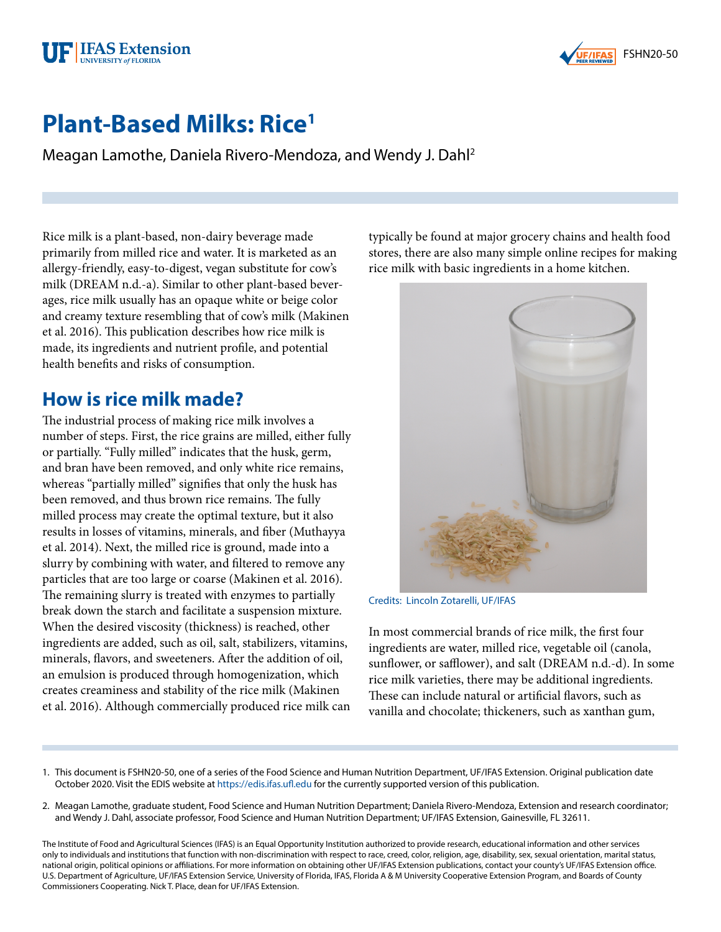



# **Plant-Based Milks: Rice1**

Meagan Lamothe, Daniela Rivero-Mendoza, and Wendy J. Dahl2

Rice milk is a plant-based, non-dairy beverage made primarily from milled rice and water. It is marketed as an allergy-friendly, easy-to-digest, vegan substitute for cow's milk (DREAM n.d.-a). Similar to other plant-based beverages, rice milk usually has an opaque white or beige color and creamy texture resembling that of cow's milk (Makinen et al. 2016). This publication describes how rice milk is made, its ingredients and nutrient profile, and potential health benefits and risks of consumption.

#### **How is rice milk made?**

The industrial process of making rice milk involves a number of steps. First, the rice grains are milled, either fully or partially. "Fully milled" indicates that the husk, germ, and bran have been removed, and only white rice remains, whereas "partially milled" signifies that only the husk has been removed, and thus brown rice remains. The fully milled process may create the optimal texture, but it also results in losses of vitamins, minerals, and fiber (Muthayya et al. 2014). Next, the milled rice is ground, made into a slurry by combining with water, and filtered to remove any particles that are too large or coarse (Makinen et al. 2016). The remaining slurry is treated with enzymes to partially break down the starch and facilitate a suspension mixture. When the desired viscosity (thickness) is reached, other ingredients are added, such as oil, salt, stabilizers, vitamins, minerals, flavors, and sweeteners. After the addition of oil, an emulsion is produced through homogenization, which creates creaminess and stability of the rice milk (Makinen et al. 2016). Although commercially produced rice milk can

typically be found at major grocery chains and health food stores, there are also many simple online recipes for making rice milk with basic ingredients in a home kitchen.



Credits: Lincoln Zotarelli, UF/IFAS

In most commercial brands of rice milk, the first four ingredients are water, milled rice, vegetable oil (canola, sunflower, or safflower), and salt (DREAM n.d.-d). In some rice milk varieties, there may be additional ingredients. These can include natural or artificial flavors, such as vanilla and chocolate; thickeners, such as xanthan gum,

- 1. This document is FSHN20-50, one of a series of the Food Science and Human Nutrition Department, UF/IFAS Extension. Original publication date October 2020. Visit the EDIS website at <https://edis.ifas.ufl.edu>for the currently supported version of this publication.
- 2. Meagan Lamothe, graduate student, Food Science and Human Nutrition Department; Daniela Rivero-Mendoza, Extension and research coordinator; and Wendy J. Dahl, associate professor, Food Science and Human Nutrition Department; UF/IFAS Extension, Gainesville, FL 32611.

The Institute of Food and Agricultural Sciences (IFAS) is an Equal Opportunity Institution authorized to provide research, educational information and other services only to individuals and institutions that function with non-discrimination with respect to race, creed, color, religion, age, disability, sex, sexual orientation, marital status, national origin, political opinions or affiliations. For more information on obtaining other UF/IFAS Extension publications, contact your county's UF/IFAS Extension office. U.S. Department of Agriculture, UF/IFAS Extension Service, University of Florida, IFAS, Florida A & M University Cooperative Extension Program, and Boards of County Commissioners Cooperating. Nick T. Place, dean for UF/IFAS Extension.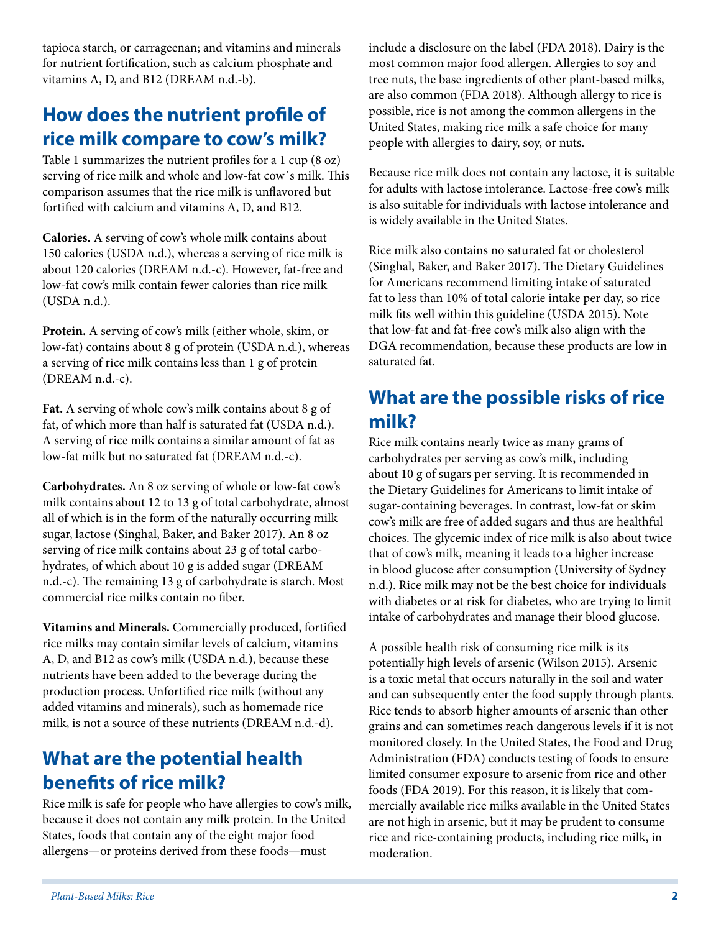tapioca starch, or carrageenan; and vitamins and minerals for nutrient fortification, such as calcium phosphate and vitamins A, D, and B12 (DREAM n.d.-b).

# **How does the nutrient profile of rice milk compare to cow's milk?**

Table 1 summarizes the nutrient profiles for a 1 cup (8 oz) serving of rice milk and whole and low-fat cow´s milk. This comparison assumes that the rice milk is unflavored but fortified with calcium and vitamins A, D, and B12.

**Calories.** A serving of cow's whole milk contains about 150 calories (USDA n.d.), whereas a serving of rice milk is about 120 calories (DREAM n.d.-c). However, fat-free and low-fat cow's milk contain fewer calories than rice milk (USDA n.d.).

**Protein.** A serving of cow's milk (either whole, skim, or low-fat) contains about 8 g of protein (USDA n.d.), whereas a serving of rice milk contains less than 1 g of protein (DREAM n.d.-c).

**Fat.** A serving of whole cow's milk contains about 8 g of fat, of which more than half is saturated fat (USDA n.d.). A serving of rice milk contains a similar amount of fat as low-fat milk but no saturated fat (DREAM n.d.-c).

**Carbohydrates.** An 8 oz serving of whole or low-fat cow's milk contains about 12 to 13 g of total carbohydrate, almost all of which is in the form of the naturally occurring milk sugar, lactose (Singhal, Baker, and Baker 2017). An 8 oz serving of rice milk contains about 23 g of total carbohydrates, of which about 10 g is added sugar (DREAM n.d.-c). The remaining 13 g of carbohydrate is starch. Most commercial rice milks contain no fiber.

**Vitamins and Minerals.** Commercially produced, fortified rice milks may contain similar levels of calcium, vitamins A, D, and B12 as cow's milk (USDA n.d.), because these nutrients have been added to the beverage during the production process. Unfortified rice milk (without any added vitamins and minerals), such as homemade rice milk, is not a source of these nutrients (DREAM n.d.-d).

# **What are the potential health benefits of rice milk?**

Rice milk is safe for people who have allergies to cow's milk, because it does not contain any milk protein. In the United States, foods that contain any of the eight major food allergens—or proteins derived from these foods—must

include a disclosure on the label (FDA 2018). Dairy is the most common major food allergen. Allergies to soy and tree nuts, the base ingredients of other plant-based milks, are also common (FDA 2018). Although allergy to rice is possible, rice is not among the common allergens in the United States, making rice milk a safe choice for many people with allergies to dairy, soy, or nuts.

Because rice milk does not contain any lactose, it is suitable for adults with lactose intolerance. Lactose-free cow's milk is also suitable for individuals with lactose intolerance and is widely available in the United States.

Rice milk also contains no saturated fat or cholesterol (Singhal, Baker, and Baker 2017). The Dietary Guidelines for Americans recommend limiting intake of saturated fat to less than 10% of total calorie intake per day, so rice milk fits well within this guideline (USDA 2015). Note that low-fat and fat-free cow's milk also align with the DGA recommendation, because these products are low in saturated fat.

# **What are the possible risks of rice milk?**

Rice milk contains nearly twice as many grams of carbohydrates per serving as cow's milk, including about 10 g of sugars per serving. It is recommended in the Dietary Guidelines for Americans to limit intake of sugar-containing beverages. In contrast, low-fat or skim cow's milk are free of added sugars and thus are healthful choices. The glycemic index of rice milk is also about twice that of cow's milk, meaning it leads to a higher increase in blood glucose after consumption (University of Sydney n.d.). Rice milk may not be the best choice for individuals with diabetes or at risk for diabetes, who are trying to limit intake of carbohydrates and manage their blood glucose.

A possible health risk of consuming rice milk is its potentially high levels of arsenic (Wilson 2015). Arsenic is a toxic metal that occurs naturally in the soil and water and can subsequently enter the food supply through plants. Rice tends to absorb higher amounts of arsenic than other grains and can sometimes reach dangerous levels if it is not monitored closely. In the United States, the Food and Drug Administration (FDA) conducts testing of foods to ensure limited consumer exposure to arsenic from rice and other foods (FDA 2019). For this reason, it is likely that commercially available rice milks available in the United States are not high in arsenic, but it may be prudent to consume rice and rice-containing products, including rice milk, in moderation.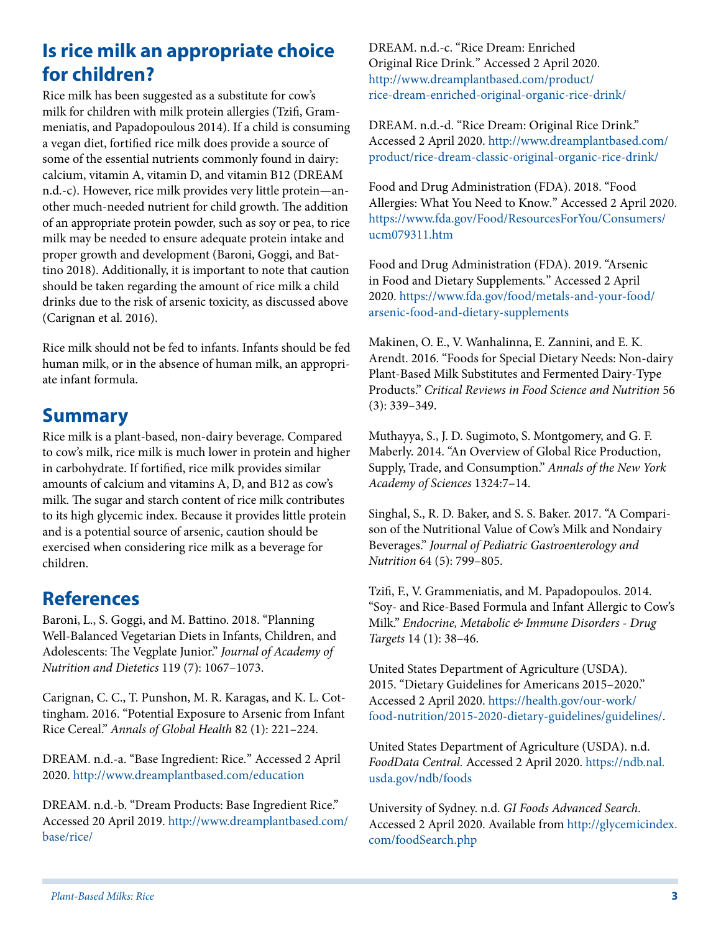## **Is rice milk an appropriate choice for children?**

Rice milk has been suggested as a substitute for cow's milk for children with milk protein allergies (Tzifi, Grammeniatis, and Papadopoulous 2014). If a child is consuming a vegan diet, fortified rice milk does provide a source of some of the essential nutrients commonly found in dairy: calcium, vitamin A, vitamin D, and vitamin B12 (DREAM n.d.-c). However, rice milk provides very little protein—another much-needed nutrient for child growth. The addition of an appropriate protein powder, such as soy or pea, to rice milk may be needed to ensure adequate protein intake and proper growth and development (Baroni, Goggi, and Battino 2018). Additionally, it is important to note that caution should be taken regarding the amount of rice milk a child drinks due to the risk of arsenic toxicity, as discussed above (Carignan et al. 2016).

Rice milk should not be fed to infants. Infants should be fed human milk, or in the absence of human milk, an appropriate infant formula.

#### **Summary**

Rice milk is a plant-based, non-dairy beverage. Compared to cow's milk, rice milk is much lower in protein and higher in carbohydrate. If fortified, rice milk provides similar amounts of calcium and vitamins A, D, and B12 as cow's milk. The sugar and starch content of rice milk contributes to its high glycemic index. Because it provides little protein and is a potential source of arsenic, caution should be exercised when considering rice milk as a beverage for children.

#### **References**

Baroni, L., S. Goggi, and M. Battino. 2018. "Planning Well-Balanced Vegetarian Diets in Infants, Children, and Adolescents: The Vegplate Junior." *Journal of Academy of Nutrition and Dietetics* 119 (7): 1067–1073.

Carignan, C. C., T. Punshon, M. R. Karagas, and K. L. Cottingham. 2016. "Potential Exposure to Arsenic from Infant Rice Cereal." *Annals of Global Health* 82 (1): 221–224.

DREAM. n.d.-a. "Base Ingredient: Rice*.*" Accessed 2 April 2020.<http://www.dreamplantbased.com/education>

DREAM. n.d.-b. "Dream Products: Base Ingredient Rice." Accessed 20 April 2019. [http://www.dreamplantbased.com/](http://www.dreamplantbased.com/base/rice/) [base/rice/](http://www.dreamplantbased.com/base/rice/)

DREAM. n.d.-c. "Rice Dream: Enriched Original Rice Drink*.*" Accessed 2 April 2020. [http://www.dreamplantbased.com/product/](http://www.dreamplantbased.com/product/rice-dream-enriched-original-organic-rice-drink/) [rice-dream-enriched-original-organic-rice-drink/](http://www.dreamplantbased.com/product/rice-dream-enriched-original-organic-rice-drink/)

DREAM. n.d.-d. "Rice Dream: Original Rice Drink." Accessed 2 April 2020. [http://www.dreamplantbased.com/](http://www.dreamplantbased.com/product/rice-dream-classic-original-organic-rice-drink/) [product/rice-dream-classic-original-organic-rice-drink/](http://www.dreamplantbased.com/product/rice-dream-classic-original-organic-rice-drink/)

Food and Drug Administration (FDA). 2018. "Food Allergies: What You Need to Know*.*" Accessed 2 April 2020. [https://www.fda.gov/Food/ResourcesForYou/Consumers/](https://www.fda.gov/Food/ResourcesForYou/Consumers/ucm079311.htm) [ucm079311.htm](https://www.fda.gov/Food/ResourcesForYou/Consumers/ucm079311.htm)

Food and Drug Administration (FDA). 2019. "Arsenic in Food and Dietary Supplements*.*" Accessed 2 April 2020. [https://www.fda.gov/food/metals-and-your-food/](https://www.fda.gov/food/metals-and-your-food/arsenic-food-and-dietary-supplements) [arsenic-food-and-dietary-supplements](https://www.fda.gov/food/metals-and-your-food/arsenic-food-and-dietary-supplements)

Makinen, O. E., V. Wanhalinna, E. Zannini, and E. K. Arendt. 2016. "Foods for Special Dietary Needs: Non-dairy Plant-Based Milk Substitutes and Fermented Dairy-Type Products." *Critical Reviews in Food Science and Nutrition* 56 (3): 339–349.

Muthayya, S., J. D. Sugimoto, S. Montgomery, and G. F. Maberly. 2014. "An Overview of Global Rice Production, Supply, Trade, and Consumption." *Annals of the New York Academy of Sciences* 1324:7–14.

Singhal, S., R. D. Baker, and S. S. Baker. 2017. "A Comparison of the Nutritional Value of Cow's Milk and Nondairy Beverages." *Journal of Pediatric Gastroenterology and Nutrition* 64 (5): 799–805.

Tzifi, F., V. Grammeniatis, and M. Papadopoulos. 2014. "Soy- and Rice-Based Formula and Infant Allergic to Cow's Milk." *Endocrine, Metabolic & Immune Disorders - Drug Targets* 14 (1): 38–46.

United States Department of Agriculture (USDA). 2015. "Dietary Guidelines for Americans 2015–2020." Accessed 2 April 2020. [https://health.gov/our-work/](https://health.gov/our-work/food-nutrition/2015-2020-dietary-guidelines/guidelines/) [food-nutrition/2015-2020-dietary-guidelines/guidelines/.](https://health.gov/our-work/food-nutrition/2015-2020-dietary-guidelines/guidelines/)

United States Department of Agriculture (USDA). n.d. *FoodData Central.* Accessed 2 April 2020. [https://ndb.nal.](https://ndb.nal.usda.gov/ndb/foods) [usda.gov/ndb/foods](https://ndb.nal.usda.gov/ndb/foods)

University of Sydney. n.d. *GI Foods Advanced Search*. Accessed 2 April 2020. Available from [http://glycemicindex.](http://glycemicindex.com/foodSearch.php) [com/foodSearch.php](http://glycemicindex.com/foodSearch.php)